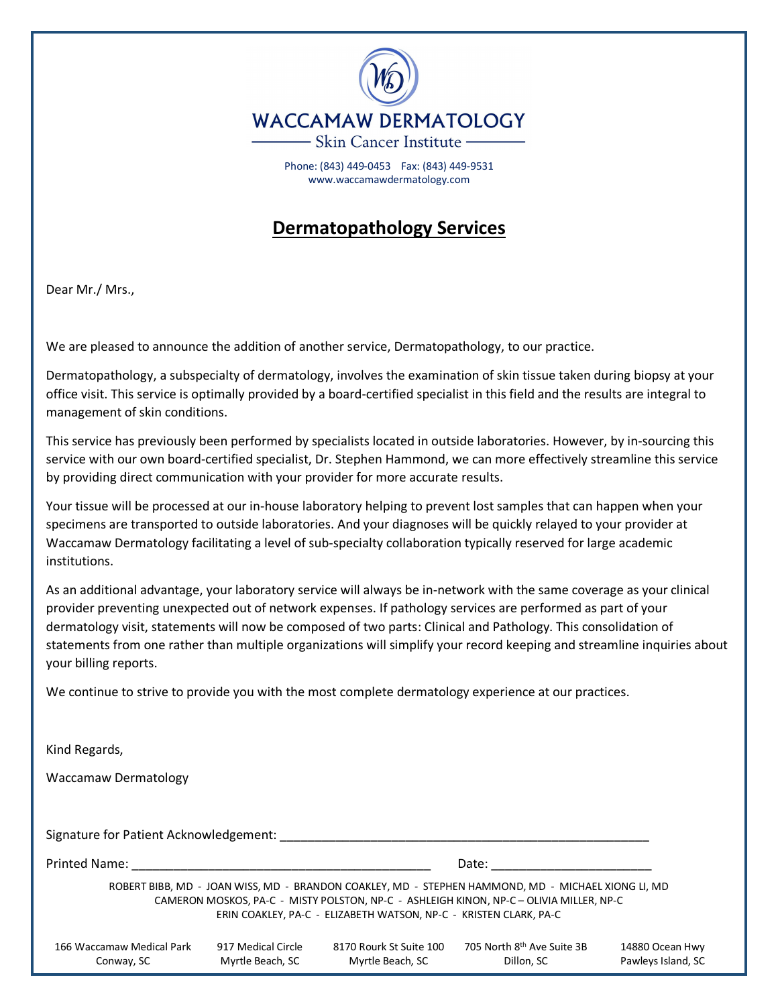

Phone: (843) 449-0453 Fax: (843) 449-9531 www.waccamawdermatology.com

## **Dermatopathology Services**

Dear Mr./ Mrs.,

We are pleased to announce the addition of another service, Dermatopathology, to our practice.

Dermatopathology, a subspecialty of dermatology, involves the examination of skin tissue taken during biopsy at your office visit. This service is optimally provided by a board-certified specialist in this field and the results are integral to management of skin conditions.

This service has previously been performed by specialists located in outside laboratories. However, by in-sourcing this service with our own board-certified specialist, Dr. Stephen Hammond, we can more effectively streamline this service by providing direct communication with your provider for more accurate results.

Your tissue will be processed at our in-house laboratory helping to prevent lost samples that can happen when your specimens are transported to outside laboratories. And your diagnoses will be quickly relayed to your provider at Waccamaw Dermatology facilitating a level of sub-specialty collaboration typically reserved for large academic institutions.

As an additional advantage, your laboratory service will always be in-network with the same coverage as your clinical provider preventing unexpected out of network expenses. If pathology services are performed as part of your dermatology visit, statements will now be composed of two parts: Clinical and Pathology. This consolidation of statements from one rather than multiple organizations will simplify your record keeping and streamline inquiries about your billing reports.

We continue to strive to provide you with the most complete dermatology experience at our practices.

| Kind Regards,                           |                                        |                                                                   |                                                                                                                                                                                               |                                       |
|-----------------------------------------|----------------------------------------|-------------------------------------------------------------------|-----------------------------------------------------------------------------------------------------------------------------------------------------------------------------------------------|---------------------------------------|
| Waccamaw Dermatology                    |                                        |                                                                   |                                                                                                                                                                                               |                                       |
|                                         |                                        |                                                                   |                                                                                                                                                                                               |                                       |
| Signature for Patient Acknowledgement:  |                                        |                                                                   |                                                                                                                                                                                               |                                       |
| <b>Printed Name:</b>                    |                                        | Date:                                                             |                                                                                                                                                                                               |                                       |
|                                         |                                        | ERIN COAKLEY, PA-C - ELIZABETH WATSON, NP-C - KRISTEN CLARK, PA-C | ROBERT BIBB, MD - JOAN WISS, MD - BRANDON COAKLEY, MD - STEPHEN HAMMOND, MD - MICHAEL XIONG LI, MD<br>CAMERON MOSKOS, PA-C - MISTY POLSTON, NP-C - ASHLEIGH KINON, NP-C - OLIVIA MILLER, NP-C |                                       |
| 166 Waccamaw Medical Park<br>Conway, SC | 917 Medical Circle<br>Myrtle Beach, SC | 8170 Rourk St Suite 100<br>Myrtle Beach, SC                       | 705 North 8 <sup>th</sup> Ave Suite 3B<br>Dillon, SC                                                                                                                                          | 14880 Ocean Hwy<br>Pawleys Island, SC |
|                                         |                                        |                                                                   |                                                                                                                                                                                               |                                       |